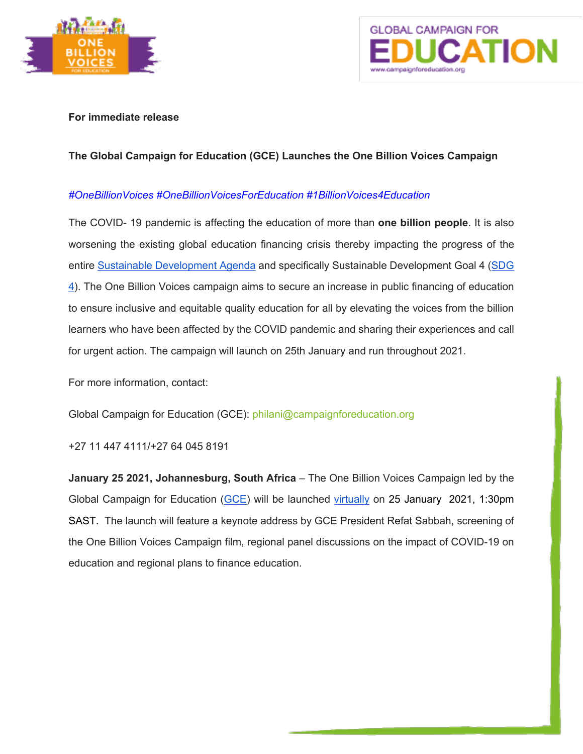



### **For immediate release**

# **The Global Campaign for Education (GCE) Launches the One Billion Voices Campaign**

## *#OneBillionVoices #OneBillionVoicesForEducation #1BillionVoices4Education*

The COVID- 19 pandemic is affecting the education of more than **one billion people**. It is also worsening the existing global education financing crisis thereby impacting the progress of the entire Sustainable Development Agenda and specifically Sustainable Development Goal 4 (SDG 4). The One Billion Voices campaign aims to secure an increase in public financing of education to ensure inclusive and equitable quality education for all by elevating the voices from the billion learners who have been affected by the COVID pandemic and sharing their experiences and call for urgent action. The campaign will launch on 25th January and run throughout 2021.

For more information, contact:

Global Campaign for Education (GCE): philani@campaignforeducation.org

+27 11 447 4111/+27 64 045 8191

**January 25 2021, Johannesburg, South Africa** – The One Billion Voices Campaign led by the Global Campaign for Education (GCE) will be launched virtually on 25 January 2021, 1:30pm SAST. The launch will feature a keynote address by GCE President Refat Sabbah, screening of the One Billion Voices Campaign film, regional panel discussions on the impact of COVID-19 on education and regional plans to finance education.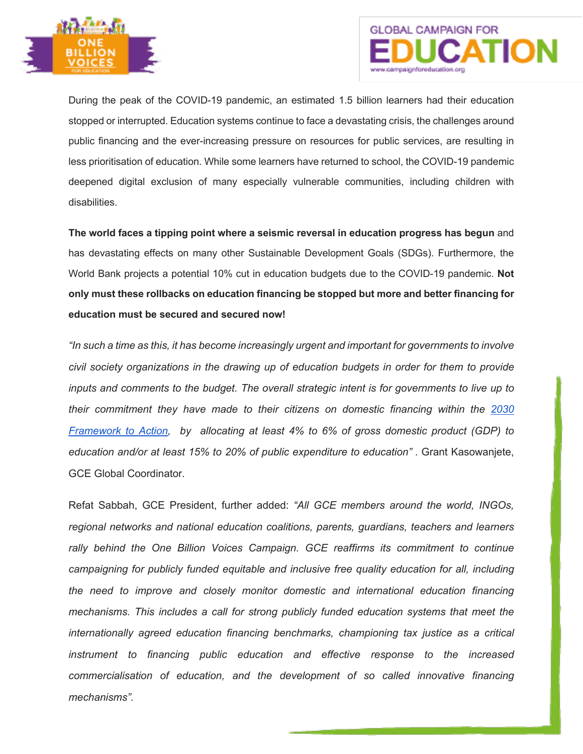



During the peak of the COVID-19 pandemic, an estimated 1.5 billion learners had their education stopped or interrupted. Education systems continue to face a devastating crisis, the challenges around public financing and the ever-increasing pressure on resources for public services, are resulting in less prioritisation of education. While some learners have returned to school, the COVID-19 pandemic deepened digital exclusion of many especially vulnerable communities, including children with disabilities.

**The world faces a tipping point where a seismic reversal in education progress has begun** and has devastating effects on many other Sustainable Development Goals (SDGs). Furthermore, the World Bank projects a potential 10% cut in education budgets due to the COVID-19 pandemic. **Not only must these rollbacks on education financing be stopped but more and better financing for education must be secured and secured now!**

*"In such a time as this, it has become increasingly urgent and important for governments to involve civil society organizations in the drawing up of education budgets in order for them to provide inputs and comments to the budget. The overall strategic intent is for governments to live up to their commitment they have made to their citizens on domestic financing within the 2030 Framework to Action, by allocating at least 4% to 6% of gross domestic product (GDP) to education and/or at least 15% to 20% of public expenditure to education" .* Grant Kasowanjete, GCE Global Coordinator.

Refat Sabbah, GCE President, further added: *"All GCE members around the world, INGOs, regional networks and national education coalitions, parents, guardians, teachers and learners rally behind the One Billion Voices Campaign. GCE reaffirms its commitment to continue campaigning for publicly funded equitable and inclusive free quality education for all, including the need to improve and closely monitor domestic and international education financing mechanisms. This includes a call for strong publicly funded education systems that meet the internationally agreed education financing benchmarks, championing tax justice as a critical instrument to financing public education and effective response to the increased commercialisation of education, and the development of so called innovative financing mechanisms".*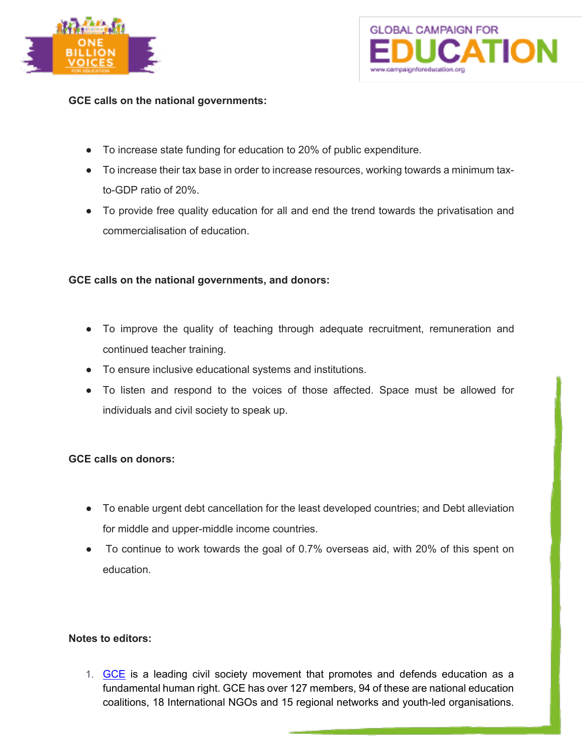



**GCE calls on the national governments:**

- To increase state funding for education to 20% of public expenditure.
- To increase their tax base in order to increase resources, working towards a minimum taxto-GDP ratio of 20%.
- To provide free quality education for all and end the trend towards the privatisation and commercialisation of education.

## **GCE calls on the national governments, and donors:**

- To improve the quality of teaching through adequate recruitment, remuneration and continued teacher training.
- To ensure inclusive educational systems and institutions.
- To listen and respond to the voices of those affected. Space must be allowed for individuals and civil society to speak up.

#### **GCE calls on donors:**

- To enable urgent debt cancellation for the least developed countries; and Debt alleviation for middle and upper-middle income countries.
- To continue to work towards the goal of 0.7% overseas aid, with 20% of this spent on education.

#### **Notes to editors:**

1. GCE is a leading civil society movement that promotes and defends education as a fundamental human right. GCE has over 127 members, 94 of these are national education coalitions, 18 International NGOs and 15 regional networks and youth-led organisations.